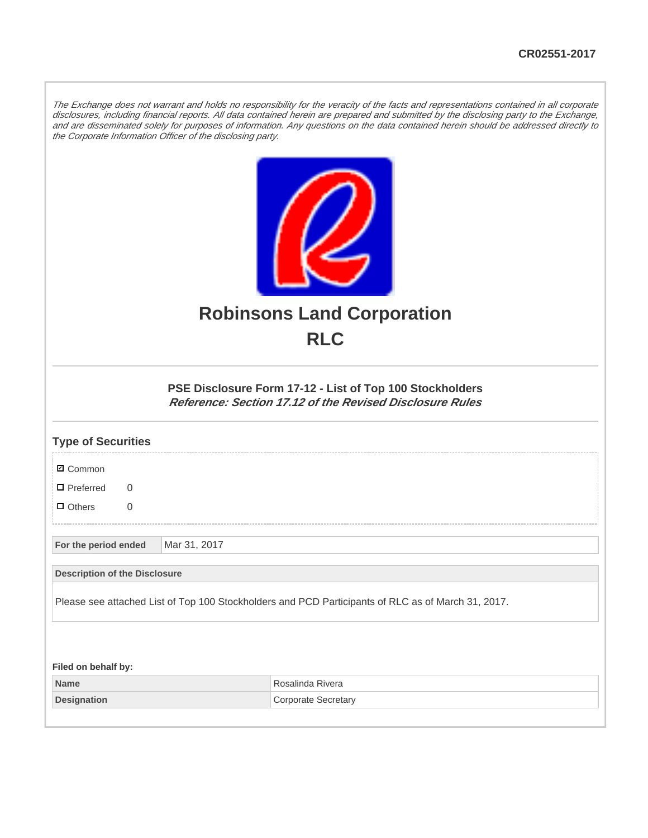The Exchange does not warrant and holds no responsibility for the veracity of the facts and representations contained in all corporate disclosures, including financial reports. All data contained herein are prepared and submitted by the disclosing party to the Exchange, and are disseminated solely for purposes of information. Any questions on the data contained herein should be addressed directly to the Corporate Information Officer of the disclosing party.



## **Robinsons Land Corporation RLC**

## **PSE Disclosure Form 17-12 - List of Top 100 Stockholders Reference: Section 17.12 of the Revised Disclosure Rules**

| <b>Type of Securities</b>                                                                          |  |              |                            |  |
|----------------------------------------------------------------------------------------------------|--|--------------|----------------------------|--|
| <b>Ø</b> Common                                                                                    |  |              |                            |  |
| $\Box$ Preferred<br>$\Omega$                                                                       |  |              |                            |  |
| $\Box$ Others<br>$\overline{0}$                                                                    |  |              |                            |  |
| For the period ended                                                                               |  | Mar 31, 2017 |                            |  |
| <b>Description of the Disclosure</b>                                                               |  |              |                            |  |
| Please see attached List of Top 100 Stockholders and PCD Participants of RLC as of March 31, 2017. |  |              |                            |  |
|                                                                                                    |  |              |                            |  |
| Filed on behalf by:                                                                                |  |              |                            |  |
| <b>Name</b>                                                                                        |  |              | Rosalinda Rivera           |  |
| <b>Designation</b>                                                                                 |  |              | <b>Corporate Secretary</b> |  |
|                                                                                                    |  |              |                            |  |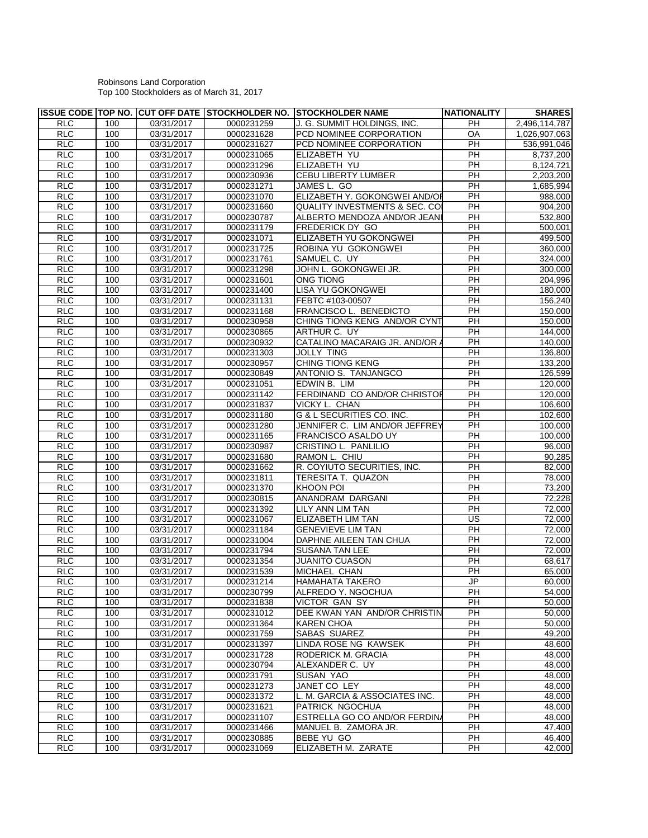## Robinsons Land Corporation Top 100 Stockholders as of March 31, 2017

|            |     |            |            | ISSUE CODE TOP NO. ICUT OFF DATE ISTOCKHOLDER NO. ISTOCKHOLDER NAME | NATIONALITY              | <b>SHARES</b>       |
|------------|-----|------------|------------|---------------------------------------------------------------------|--------------------------|---------------------|
| <b>RLC</b> | 100 | 03/31/2017 | 0000231259 | J. G. SUMMIT HOLDINGS. INC.                                         | <b>PH</b>                | 2,496,114,787       |
| <b>RLC</b> | 100 | 03/31/2017 | 0000231628 | PCD NOMINEE CORPORATION                                             | OA                       | 1,026,907,063       |
| <b>RLC</b> | 100 | 03/31/2017 | 0000231627 | PCD NOMINEE CORPORATION                                             | PH                       | 536,991,046         |
| <b>RLC</b> | 100 | 03/31/2017 | 0000231065 | ELIZABETH YU                                                        | PH                       | 8,737,200           |
| <b>RLC</b> | 100 | 03/31/2017 | 0000231296 | ELIZABETH YU                                                        | PH                       | 8,124,721           |
| <b>RLC</b> | 100 | 03/31/2017 | 0000230936 | CEBU LIBERTY LUMBER                                                 | $\overline{PH}$          | 2,203,200           |
| <b>RLC</b> | 100 | 03/31/2017 | 0000231271 | JAMES L. GO                                                         | PH                       | 1,685,994           |
| <b>RLC</b> | 100 | 03/31/2017 | 0000231070 | ELIZABETH Y. GOKONGWEI AND/OF                                       | PH                       | 988,000             |
| <b>RLC</b> | 100 | 03/31/2017 | 0000231660 | <b>QUALITY INVESTMENTS &amp; SEC. CO</b>                            | $\overline{PH}$          | 904,200             |
| <b>RLC</b> | 100 | 03/31/2017 | 0000230787 | ALBERTO MENDOZA AND/OR JEANI                                        | PH                       | 532,800             |
| <b>RLC</b> | 100 | 03/31/2017 | 0000231179 | FREDERICK DY GO                                                     | $\overline{PH}$          | 500,001             |
| <b>RLC</b> | 100 | 03/31/2017 | 0000231071 | ELIZABETH YU GOKONGWEI                                              | $\overline{PH}$          | 499,500             |
| <b>RLC</b> | 100 | 03/31/2017 | 0000231725 | ROBINA YU GOKONGWEI                                                 | PH                       | 360,000             |
| <b>RLC</b> | 100 | 03/31/2017 | 0000231761 | SAMUEL C. UY                                                        | $\overline{PH}$          | 324,000             |
| <b>RLC</b> | 100 | 03/31/2017 | 0000231298 | JOHN L. GOKONGWEI JR.                                               | PH                       | 300,000             |
| <b>RLC</b> | 100 | 03/31/2017 | 0000231601 | ONG TIONG                                                           | PH                       | 204,996             |
| <b>RLC</b> | 100 | 03/31/2017 | 0000231400 | LISA YU GOKONGWEI                                                   | $\overline{PH}$          | 180,000             |
| <b>RLC</b> | 100 | 03/31/2017 | 0000231131 | FEBTC #103-00507                                                    | PH                       | 156,240             |
| <b>RLC</b> | 100 | 03/31/2017 | 0000231168 | FRANCISCO L. BENEDICTO                                              | PH                       | 150,000             |
| <b>RLC</b> | 100 | 03/31/2017 | 0000230958 | CHING TIONG KENG AND/OR CYNT                                        | $\overline{PH}$          | 150,000             |
| <b>RLC</b> | 100 | 03/31/2017 | 0000230865 | ARTHUR C. UY                                                        | PH                       | 144,000             |
| <b>RLC</b> | 100 | 03/31/2017 | 0000230932 | CATALINO MACARAIG JR. AND/OR /                                      | PH                       | 140,000             |
| <b>RLC</b> | 100 | 03/31/2017 | 0000231303 | <b>JOLLY TING</b>                                                   | $\overline{PH}$          | 136,800             |
| <b>RLC</b> | 100 | 03/31/2017 | 0000230957 | <b>CHING TIONG KENG</b>                                             | PH                       | 133,200             |
| <b>RLC</b> | 100 | 03/31/2017 | 0000230849 | ANTONIO S. TANJANGCO                                                | PH                       | 126,599             |
| <b>RLC</b> | 100 | 03/31/2017 | 0000231051 | EDWIN B. LIM                                                        | $\overline{PH}$          | 120,000             |
| <b>RLC</b> | 100 | 03/31/2017 | 0000231142 | FERDINAND CO AND/OR CHRISTOP                                        | PH                       | 120,000             |
| <b>RLC</b> | 100 | 03/31/2017 | 0000231837 | VICKY L. CHAN                                                       | $\overline{PH}$          | 106,600             |
| <b>RLC</b> | 100 | 03/31/2017 | 0000231180 | G & L SECURITIES CO. INC.                                           | PH                       | 102,600             |
| <b>RLC</b> | 100 | 03/31/2017 | 0000231280 | JENNIFER C. LIM AND/OR JEFFREY                                      | PH                       | 100,000             |
| <b>RLC</b> | 100 | 03/31/2017 | 0000231165 | FRANCISCO ASALDO UY                                                 | PH                       | 100,000             |
| <b>RLC</b> | 100 | 03/31/2017 | 0000230987 | CRISTINO L. PANLILIO                                                | PH                       | 96,000              |
| <b>RLC</b> | 100 | 03/31/2017 | 0000231680 | RAMON L. CHIU                                                       | PH                       | 90,285              |
| <b>RLC</b> | 100 | 03/31/2017 | 0000231662 | R. COYIUTO SECURITIES, INC.                                         | $\overline{PH}$          | 82,000              |
| <b>RLC</b> | 100 | 03/31/2017 | 0000231811 | TERESITA T. QUAZON                                                  | PH                       | 78,000              |
| <b>RLC</b> | 100 | 03/31/2017 | 0000231370 | <b>KHOON POI</b>                                                    | $\overline{PH}$          | 73,200              |
| <b>RLC</b> | 100 | 03/31/2017 | 0000230815 | ANANDRAM DARGANI                                                    | PH                       | 72,228              |
| <b>RLC</b> | 100 | 03/31/2017 | 0000231392 | LILY ANN LIM TAN                                                    | PH                       | 72,000              |
| <b>RLC</b> | 100 | 03/31/2017 | 0000231067 | ELIZABETH LIM TAN                                                   | $\overline{\mathsf{US}}$ | 72,000              |
| <b>RLC</b> | 100 | 03/31/2017 | 0000231184 | <b>GENEVIEVE LIM TAN</b>                                            | $\overline{PH}$          | 72,000              |
| <b>RLC</b> | 100 | 03/31/2017 | 0000231004 | DAPHNE AILEEN TAN CHUA                                              | PH                       | 72.000              |
| <b>RLC</b> | 100 | 03/31/2017 | 0000231794 | SUSANA TAN LEE                                                      | $\overline{PH}$          | 72,000              |
| RLC        | 100 | 03/31/2017 | 0000231354 | <b>JUANITO CUASON</b>                                               | PH                       | 68,617              |
| <b>RLC</b> | 100 | 03/31/2017 | 0000231539 | MICHAEL CHAN                                                        | $\overline{PH}$          | 65,000              |
| <b>RLC</b> | 100 | 03/31/2017 | 0000231214 | <b>HAMAHATA TAKERO</b>                                              | J <sub>P</sub>           | 60,000              |
| <b>RLC</b> | 100 | 03/31/2017 | 0000230799 | ALFREDO Y. NGOCHUA                                                  | PH                       | 54,000              |
| <b>RLC</b> | 100 | 03/31/2017 | 0000231838 | <b>VICTOR GAN SY</b>                                                | PH                       | 50,000              |
| <b>RLC</b> | 100 | 03/31/2017 | 0000231012 | DEE KWAN YAN AND/OR CHRISTIN                                        | PH                       | 50,000              |
| <b>RLC</b> | 100 | 03/31/2017 | 0000231364 | KAREN CHOA                                                          | PH                       | 50,000              |
| <b>RLC</b> | 100 | 03/31/2017 | 0000231759 | SABAS SUAREZ                                                        | PH                       | 49,200              |
| <b>RLC</b> | 100 | 03/31/2017 | 0000231397 | LINDA ROSE NG KAWSEK                                                | PH                       | 48,600              |
| <b>RLC</b> | 100 | 03/31/2017 | 0000231728 | RODERICK M. GRACIA                                                  | PH                       | 48,000              |
| <b>RLC</b> | 100 | 03/31/2017 | 0000230794 | ALEXANDER C. UY                                                     | PH                       | 48,000              |
| <b>RLC</b> | 100 | 03/31/2017 | 0000231791 | <b>SUSAN YAO</b>                                                    | PH                       | 48,000              |
| RLC        | 100 | 03/31/2017 | 0000231273 | JANET CO LEY                                                        | PH                       | 48,000              |
| <b>RLC</b> | 100 | 03/31/2017 | 0000231372 | L. M. GARCIA & ASSOCIATES INC.                                      | PH                       | 48,000              |
| <b>RLC</b> | 100 | 03/31/2017 | 0000231621 | PATRICK NGOCHUA                                                     | PH                       | 48,000              |
| RLC        | 100 | 03/31/2017 | 0000231107 | ESTRELLA GO CO AND/OR FERDINA                                       | PH                       | 48,000              |
| <b>RLC</b> | 100 | 03/31/2017 | 0000231466 | MANUEL B. ZAMORA JR.                                                | PH                       | 47,400              |
| <b>RLC</b> | 100 | 03/31/2017 | 0000230885 | BEBE YU GO                                                          | PH                       | 46,400              |
| RLC        | 100 | 03/31/2017 | 0000231069 | ELIZABETH M. ZARATE                                                 | PH                       | $\overline{42,000}$ |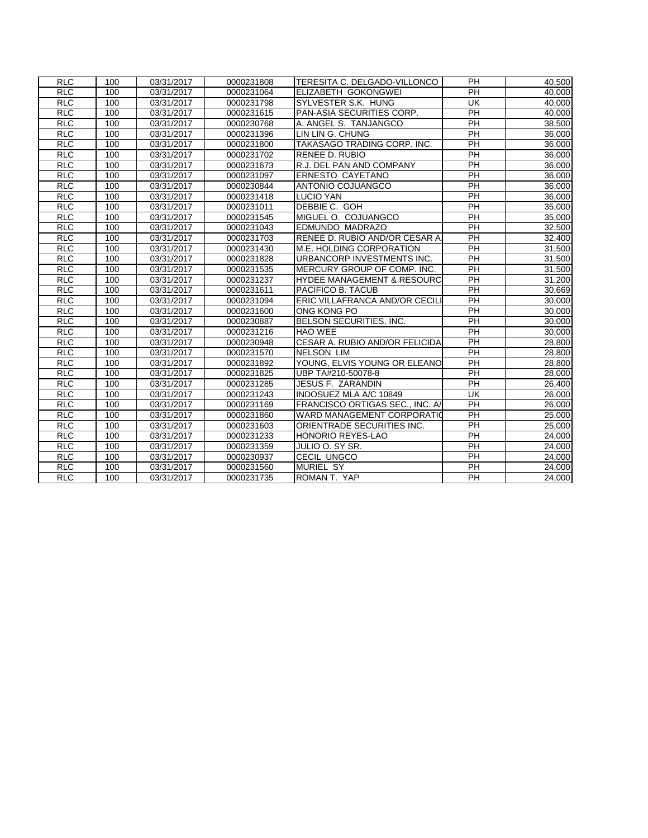| <b>RLC</b>      | 100 | 03/31/2017 | 0000231808 | TERESITA C. DELGADO-VILLONCO          | <b>PH</b>       | 40,500              |
|-----------------|-----|------------|------------|---------------------------------------|-----------------|---------------------|
| <b>RLC</b>      | 100 | 03/31/2017 | 0000231064 | ELIZABETH GOKONGWEI                   | <b>PH</b>       | 40,000              |
| <b>RLC</b>      | 100 | 03/31/2017 | 0000231798 | SYLVESTER S.K. HUNG                   | UK              | 40,000              |
| <b>RLC</b>      | 100 | 03/31/2017 | 0000231615 | PAN-ASIA SECURITIES CORP.             | PH              | 40,000              |
| RLC             | 100 | 03/31/2017 | 0000230768 | A. ANGEL S. TANJANGCO                 | $\overline{P}$  | 38,500              |
| <b>RLC</b>      | 100 | 03/31/2017 | 0000231396 | LIN LIN G. CHUNG                      | <b>PH</b>       | 36,000              |
| <b>RLC</b>      | 100 | 03/31/2017 | 0000231800 | TAKASAGO TRADING CORP. INC.           | $\overline{PH}$ | 36,000              |
| <b>RLC</b>      | 100 | 03/31/2017 | 0000231702 | <b>RENEE D. RUBIO</b>                 | PH              | 36,000              |
| <b>RLC</b>      | 100 | 03/31/2017 | 0000231673 | R.J. DEL PAN AND COMPANY              | $\overline{PH}$ | 36,000              |
| <b>RLC</b>      | 100 | 03/31/2017 | 0000231097 | ERNESTO CAYETANO                      | <b>PH</b>       | 36,000              |
| <b>RLC</b>      | 100 | 03/31/2017 | 0000230844 | ANTONIO COJUANGCO                     | PH              | 36,000              |
| <b>RLC</b>      | 100 | 03/31/2017 | 0000231418 | <b>LUCIO YAN</b>                      | $\overline{PH}$ | 36,000              |
| RLC             | 100 | 03/31/2017 | 0000231011 | DEBBIE C. GOH                         | $\overline{PH}$ | 35.000              |
| RLC             | 100 | 03/31/2017 | 0000231545 | MIGUEL O. COJUANGCO                   | $\overline{PH}$ | 35,000              |
| <b>RLC</b>      | 100 | 03/31/2017 | 0000231043 | EDMUNDO MADRAZO                       | $\overline{PH}$ | 32,500              |
| <b>RLC</b>      | 100 | 03/31/2017 | 0000231703 | RENEE D. RUBIO AND/OR CESAR A         | <b>PH</b>       | 32,400              |
| <b>RLC</b>      | 100 | 03/31/2017 | 0000231430 | M.E. HOLDING CORPORATION              | PH              | 31,500              |
| R <sub>LC</sub> | 100 | 03/31/2017 | 0000231828 | URBANCORP INVESTMENTS INC.            | $\overline{PH}$ | 31,500              |
| <b>RLC</b>      | 100 | 03/31/2017 | 0000231535 | MERCURY GROUP OF COMP. INC.           | PH              | 31,500              |
| <b>RLC</b>      | 100 | 03/31/2017 | 0000231237 | <b>HYDEE MANAGEMENT &amp; RESOURC</b> | <b>PH</b>       | 31,200              |
| <b>RLC</b>      | 100 | 03/31/2017 | 0000231611 | PACIFICO B. TACUB                     | <b>PH</b>       | 30,669              |
| <b>RLC</b>      | 100 | 03/31/2017 | 0000231094 | ERIC VILLAFRANCA AND/OR CECILI        | PH              | 30,000              |
| RLC             | 100 | 03/31/2017 | 0000231600 | ONG KONG PO                           | $\overline{PH}$ | 30,000              |
| <b>RLC</b>      | 100 | 03/31/2017 | 0000230887 | BELSON SECURITIES, INC.               | $\overline{PH}$ | 30,000              |
| <b>RLC</b>      | 100 | 03/31/2017 | 0000231216 | <b>HAO WEE</b>                        | <b>PH</b>       | 30,000              |
| <b>RLC</b>      | 100 | 03/31/2017 | 0000230948 | CESAR A. RUBIO AND/OR FELICIDA        | $\overline{PH}$ | 28,800              |
| <b>RLC</b>      | 100 | 03/31/2017 | 0000231570 | <b>NELSON LIM</b>                     | $\overline{PH}$ | 28,800              |
| <b>RLC</b>      | 100 | 03/31/2017 | 0000231892 | YOUNG, ELVIS YOUNG OR ELEANO          | $\overline{PH}$ | 28,800              |
| <b>RLC</b>      | 100 | 03/31/2017 | 0000231825 | UBP TA#210-50078-8                    | PH              | 28,000              |
| <b>RLC</b>      | 100 | 03/31/2017 | 0000231285 | JESUS F. ZARANDIN                     | PH              | 26,400              |
| <b>RLC</b>      | 100 | 03/31/2017 | 0000231243 | INDOSUEZ MLA A/C 10849                | UK              | 26,000              |
| <b>RLC</b>      | 100 | 03/31/2017 | 0000231169 | FRANCISCO ORTIGAS SEC., INC. A/       | <b>PH</b>       | 26,000              |
| <b>RLC</b>      | 100 | 03/31/2017 | 0000231860 | <b>WARD MANAGEMENT CORPORATION</b>    | PH              | 25,000              |
| <b>RLC</b>      | 100 | 03/31/2017 | 0000231603 | ORIENTRADE SECURITIES INC.            | $\overline{PH}$ | 25,000              |
| <b>RLC</b>      | 100 | 03/31/2017 | 0000231233 | <b>HONORIO REYES-LAO</b>              | <b>PH</b>       | 24,000              |
| <b>RLC</b>      | 100 | 03/31/2017 | 0000231359 | JULIO O. SY SR.                       | <b>PH</b>       | 24,000              |
| <b>RLC</b>      | 100 | 03/31/2017 | 0000230937 | CECIL UNGCO                           | <b>PH</b>       | 24,000              |
| RLC             | 100 | 03/31/2017 | 0000231560 | <b>MURIEL SY</b>                      | $\overline{PH}$ | 24,000              |
| <b>RLC</b>      | 100 | 03/31/2017 | 0000231735 | ROMAN T. YAP                          | PH              | $\overline{24,000}$ |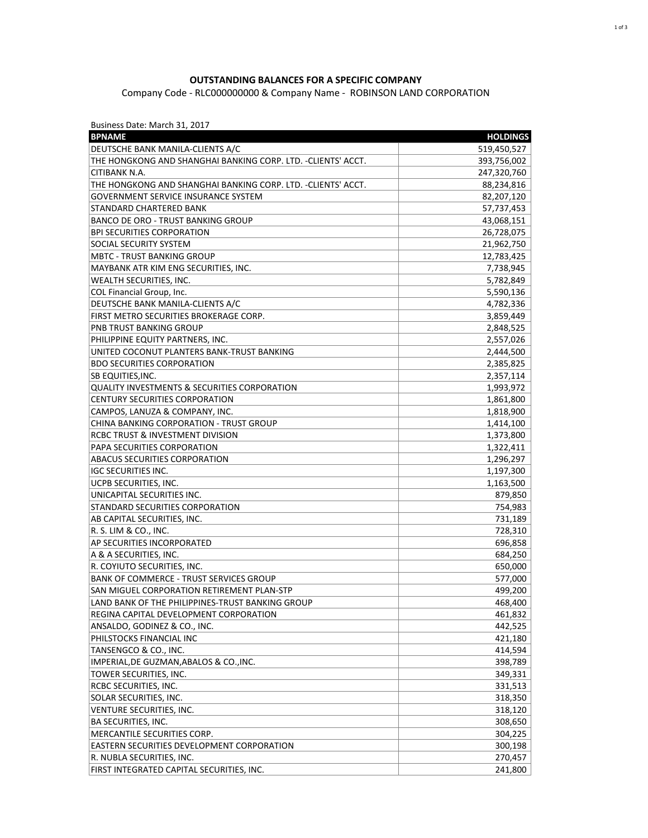## **OUTSTANDING BALANCES FOR A SPECIFIC COMPANY**

Company Code - RLC000000000 & Company Name - ROBINSON LAND CORPORATION

| Business Date: March 31, 2017 |  |  |  |
|-------------------------------|--|--|--|
|-------------------------------|--|--|--|

| <b>BPNAME</b>                                                 | <b>HOLDINGS</b> |
|---------------------------------------------------------------|-----------------|
| DEUTSCHE BANK MANILA-CLIENTS A/C                              | 519,450,527     |
| THE HONGKONG AND SHANGHAI BANKING CORP. LTD. - CLIENTS' ACCT. | 393,756,002     |
| CITIBANK N.A.                                                 | 247,320,760     |
| THE HONGKONG AND SHANGHAI BANKING CORP. LTD. - CLIENTS' ACCT. | 88,234,816      |
| <b>GOVERNMENT SERVICE INSURANCE SYSTEM</b>                    | 82,207,120      |
| STANDARD CHARTERED BANK                                       | 57,737,453      |
| <b>BANCO DE ORO - TRUST BANKING GROUP</b>                     | 43,068,151      |
| <b>BPI SECURITIES CORPORATION</b>                             | 26,728,075      |
| SOCIAL SECURITY SYSTEM                                        | 21,962,750      |
| <b>MBTC - TRUST BANKING GROUP</b>                             | 12,783,425      |
| MAYBANK ATR KIM ENG SECURITIES, INC.                          | 7,738,945       |
| <b>WEALTH SECURITIES, INC.</b>                                | 5,782,849       |
| COL Financial Group, Inc.                                     | 5,590,136       |
| DEUTSCHE BANK MANILA-CLIENTS A/C                              | 4,782,336       |
| FIRST METRO SECURITIES BROKERAGE CORP.                        | 3,859,449       |
| PNB TRUST BANKING GROUP                                       | 2,848,525       |
| PHILIPPINE EQUITY PARTNERS, INC.                              | 2,557,026       |
| UNITED COCONUT PLANTERS BANK-TRUST BANKING                    | 2,444,500       |
| <b>BDO SECURITIES CORPORATION</b>                             | 2,385,825       |
| SB EQUITIES, INC.                                             | 2,357,114       |
| <b>QUALITY INVESTMENTS &amp; SECURITIES CORPORATION</b>       | 1,993,972       |
| <b>CENTURY SECURITIES CORPORATION</b>                         | 1,861,800       |
| CAMPOS, LANUZA & COMPANY, INC.                                | 1,818,900       |
| CHINA BANKING CORPORATION - TRUST GROUP                       | 1,414,100       |
| <b>RCBC TRUST &amp; INVESTMENT DIVISION</b>                   | 1,373,800       |
| PAPA SECURITIES CORPORATION                                   | 1,322,411       |
| ABACUS SECURITIES CORPORATION                                 | 1,296,297       |
| <b>IGC SECURITIES INC.</b>                                    | 1,197,300       |
| UCPB SECURITIES, INC.                                         | 1,163,500       |
| UNICAPITAL SECURITIES INC.                                    | 879,850         |
| STANDARD SECURITIES CORPORATION                               | 754,983         |
| AB CAPITAL SECURITIES, INC.                                   | 731,189         |
| R. S. LIM & CO., INC.                                         | 728,310         |
| AP SECURITIES INCORPORATED                                    | 696,858         |
| A & A SECURITIES, INC.                                        | 684,250         |
| R. COYIUTO SECURITIES, INC.                                   | 650,000         |
| <b>BANK OF COMMERCE - TRUST SERVICES GROUP</b>                | 577,000         |
| SAN MIGUEL CORPORATION RETIREMENT PLAN-STP                    | 499,200         |
| LAND BANK OF THE PHILIPPINES-TRUST BANKING GROUP              | 468,400         |
| REGINA CAPITAL DEVELOPMENT CORPORATION                        | 461,832         |
| ANSALDO, GODINEZ & CO., INC.                                  | 442,525         |
| PHILSTOCKS FINANCIAL INC                                      | 421,180         |
| TANSENGCO & CO., INC.                                         | 414,594         |
| IMPERIAL, DE GUZMAN, ABALOS & CO., INC.                       | 398,789         |
| TOWER SECURITIES, INC.                                        | 349,331         |
| RCBC SECURITIES, INC.                                         | 331,513         |
| SOLAR SECURITIES, INC.                                        | 318,350         |
| VENTURE SECURITIES, INC.                                      | 318,120         |
| BA SECURITIES, INC.                                           | 308,650         |
| MERCANTILE SECURITIES CORP.                                   | 304,225         |
| EASTERN SECURITIES DEVELOPMENT CORPORATION                    | 300,198         |
| R. NUBLA SECURITIES, INC.                                     | 270,457         |
| FIRST INTEGRATED CAPITAL SECURITIES, INC.                     | 241,800         |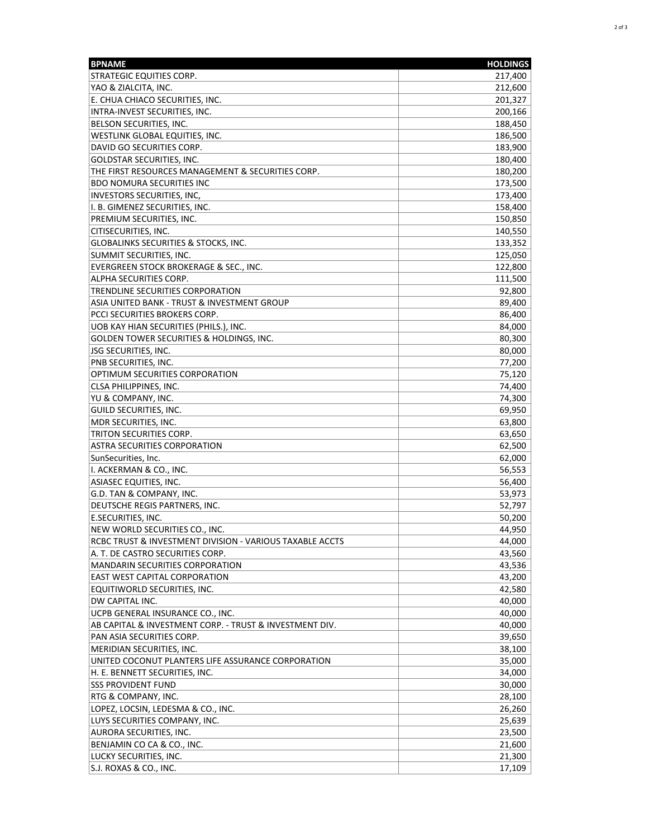| <b>BPNAME</b>                                            | <b>HOLDINGS</b> |
|----------------------------------------------------------|-----------------|
| <b>STRATEGIC EQUITIES CORP.</b>                          | 217,400         |
| YAO & ZIALCITA, INC.                                     | 212,600         |
| E. CHUA CHIACO SECURITIES, INC.                          | 201,327         |
| INTRA-INVEST SECURITIES, INC.                            | 200,166         |
| BELSON SECURITIES, INC.                                  | 188,450         |
| WESTLINK GLOBAL EQUITIES, INC.                           | 186,500         |
| DAVID GO SECURITIES CORP.                                | 183,900         |
| <b>GOLDSTAR SECURITIES, INC.</b>                         | 180,400         |
| THE FIRST RESOURCES MANAGEMENT & SECURITIES CORP.        | 180,200         |
| <b>BDO NOMURA SECURITIES INC</b>                         | 173,500         |
| INVESTORS SECURITIES, INC.                               | 173,400         |
| I. B. GIMENEZ SECURITIES, INC.                           | 158,400         |
| PREMIUM SECURITIES, INC.                                 | 150,850         |
| CITISECURITIES, INC.                                     | 140,550         |
| GLOBALINKS SECURITIES & STOCKS, INC.                     | 133,352         |
| SUMMIT SECURITIES, INC.                                  | 125,050         |
| EVERGREEN STOCK BROKERAGE & SEC., INC.                   | 122,800         |
| ALPHA SECURITIES CORP.                                   | 111,500         |
| TRENDLINE SECURITIES CORPORATION                         | 92,800          |
| ASIA UNITED BANK - TRUST & INVESTMENT GROUP              | 89,400          |
| PCCI SECURITIES BROKERS CORP.                            | 86,400          |
| UOB KAY HIAN SECURITIES (PHILS.), INC.                   | 84,000          |
| <b>GOLDEN TOWER SECURITIES &amp; HOLDINGS. INC.</b>      | 80,300          |
| <b>JSG SECURITIES, INC.</b>                              | 80,000          |
| PNB SECURITIES, INC.                                     | 77,200          |
| OPTIMUM SECURITIES CORPORATION                           | 75,120          |
| CLSA PHILIPPINES, INC.                                   | 74,400          |
| YU & COMPANY, INC.                                       | 74,300          |
| <b>GUILD SECURITIES, INC.</b>                            | 69,950          |
| MDR SECURITIES, INC.                                     | 63,800          |
| TRITON SECURITIES CORP.                                  | 63,650          |
| ASTRA SECURITIES CORPORATION                             | 62,500          |
| SunSecurities, Inc.                                      | 62,000          |
| I. ACKERMAN & CO., INC.                                  | 56,553          |
| ASIASEC EQUITIES, INC.                                   | 56,400          |
| G.D. TAN & COMPANY, INC.                                 | 53,973          |
| DEUTSCHE REGIS PARTNERS, INC.                            | 52,797          |
| E.SECURITIES, INC.                                       | 50,200          |
| NEW WORLD SECURITIES CO., INC.                           | 44,950          |
| RCBC TRUST & INVESTMENT DIVISION - VARIOUS TAXABLE ACCTS | 44,000          |
| A. T. DE CASTRO SECURITIES CORP.                         | 43,560          |
| <b>MANDARIN SECURITIES CORPORATION</b>                   | 43,536          |
| <b>EAST WEST CAPITAL CORPORATION</b>                     | 43,200          |
| EQUITIWORLD SECURITIES, INC.                             | 42,580          |
| DW CAPITAL INC.                                          | 40,000          |
| UCPB GENERAL INSURANCE CO., INC.                         | 40,000          |
| AB CAPITAL & INVESTMENT CORP. - TRUST & INVESTMENT DIV.  | 40,000          |
| PAN ASIA SECURITIES CORP.                                | 39,650          |
| MERIDIAN SECURITIES, INC.                                | 38,100          |
| UNITED COCONUT PLANTERS LIFE ASSURANCE CORPORATION       | 35,000          |
| H. E. BENNETT SECURITIES, INC.                           | 34,000          |
| <b>SSS PROVIDENT FUND</b>                                | 30,000          |
| RTG & COMPANY, INC.                                      | 28,100          |
| LOPEZ, LOCSIN, LEDESMA & CO., INC.                       | 26,260          |
| LUYS SECURITIES COMPANY, INC.                            | 25,639          |
| AURORA SECURITIES, INC.                                  | 23,500          |
| BENJAMIN CO CA & CO., INC.                               | 21,600          |
| LUCKY SECURITIES, INC.                                   | 21,300          |
| S.J. ROXAS & CO., INC.                                   | 17,109          |
|                                                          |                 |